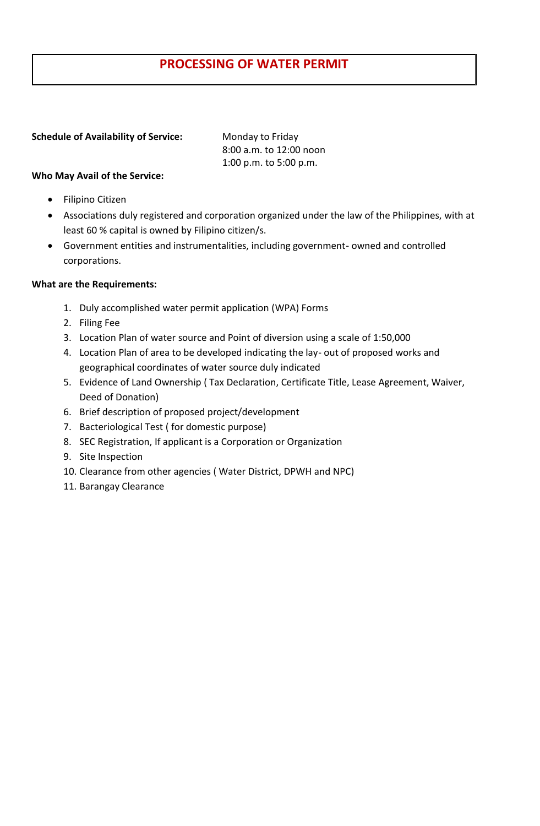# **PROCESSING OF WATER PERMIT**

#### **Schedule of Availability of Service:** Monday to Friday

8:00 a.m. to 12:00 noon 1:00 p.m. to 5:00 p.m.

## **Who May Avail of the Service:**

- Filipino Citizen
- Associations duly registered and corporation organized under the law of the Philippines, with at least 60 % capital is owned by Filipino citizen/s.
- Government entities and instrumentalities, including government- owned and controlled corporations.

### **What are the Requirements:**

- 1. Duly accomplished water permit application (WPA) Forms
- 2. Filing Fee
- 3. Location Plan of water source and Point of diversion using a scale of 1:50,000
- 4. Location Plan of area to be developed indicating the lay- out of proposed works and geographical coordinates of water source duly indicated
- 5. Evidence of Land Ownership ( Tax Declaration, Certificate Title, Lease Agreement, Waiver, Deed of Donation)
- 6. Brief description of proposed project/development
- 7. Bacteriological Test ( for domestic purpose)
- 8. SEC Registration, If applicant is a Corporation or Organization
- 9. Site Inspection
- 10. Clearance from other agencies ( Water District, DPWH and NPC)
- 11. Barangay Clearance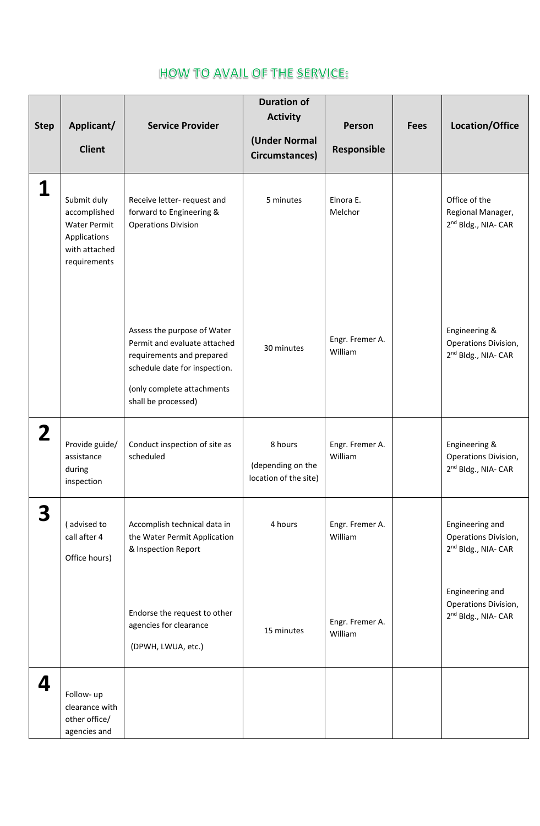# **HOW TO AVAIL OF THE SERVICE:**

| <b>Step</b> | Applicant/<br><b>Client</b>                                                                         | <b>Service Provider</b>                                                                                                                                                        | <b>Duration of</b><br><b>Activity</b><br>(Under Normal<br>Circumstances) | Person<br>Responsible      | <b>Fees</b> | Location/Office                                                                               |
|-------------|-----------------------------------------------------------------------------------------------------|--------------------------------------------------------------------------------------------------------------------------------------------------------------------------------|--------------------------------------------------------------------------|----------------------------|-------------|-----------------------------------------------------------------------------------------------|
|             | Submit duly<br>accomplished<br><b>Water Permit</b><br>Applications<br>with attached<br>requirements | Receive letter- request and<br>forward to Engineering &<br><b>Operations Division</b>                                                                                          | 5 minutes                                                                | Elnora E.<br>Melchor       |             | Office of the<br>Regional Manager,<br>2 <sup>nd</sup> Bldg., NIA- CAR                         |
|             |                                                                                                     | Assess the purpose of Water<br>Permit and evaluate attached<br>requirements and prepared<br>schedule date for inspection.<br>(only complete attachments<br>shall be processed) | 30 minutes                                                               | Engr. Fremer A.<br>William |             | Engineering &<br>Operations Division,<br>2 <sup>nd</sup> Bldg., NIA- CAR                      |
| $\mathbf 2$ | Provide guide/<br>assistance<br>during<br>inspection                                                | Conduct inspection of site as<br>scheduled                                                                                                                                     | 8 hours<br>(depending on the<br>location of the site)                    | Engr. Fremer A.<br>William |             | Engineering &<br>Operations Division,<br>2 <sup>nd</sup> Bldg., NIA- CAR                      |
| 3           | (advised to<br>call after 4<br>Office hours)                                                        | Accomplish technical data in<br>the Water Permit Application<br>& Inspection Report                                                                                            | 4 hours                                                                  | Engr. Fremer A.<br>William |             | Engineering and<br>Operations Division,<br>2 <sup>nd</sup> Bldg., NIA- CAR<br>Engineering and |
|             |                                                                                                     | Endorse the request to other<br>agencies for clearance<br>(DPWH, LWUA, etc.)                                                                                                   | 15 minutes                                                               | Engr. Fremer A.<br>William |             | Operations Division,<br>2 <sup>nd</sup> Bldg., NIA- CAR                                       |
| <u>Л</u>    | Follow- up<br>clearance with<br>other office/<br>agencies and                                       |                                                                                                                                                                                |                                                                          |                            |             |                                                                                               |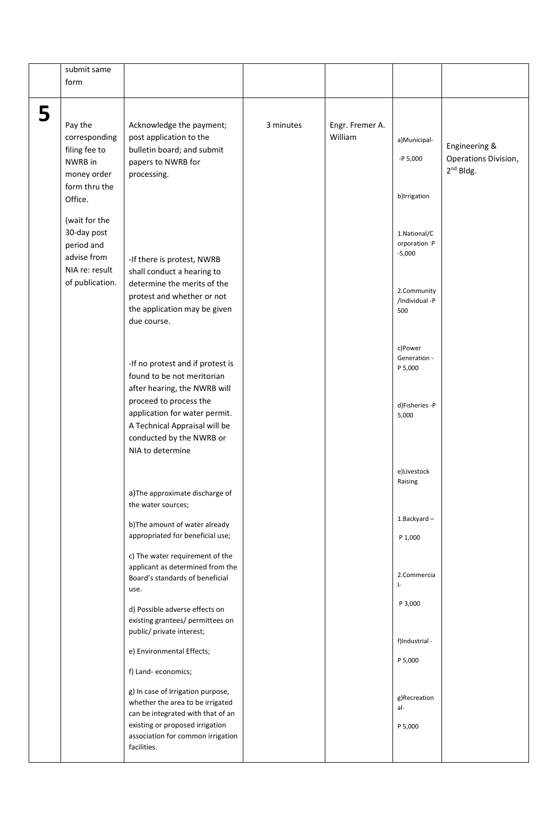|   | submit same     |                                                                      |           |                 |                         |                      |
|---|-----------------|----------------------------------------------------------------------|-----------|-----------------|-------------------------|----------------------|
|   | form            |                                                                      |           |                 |                         |                      |
|   |                 |                                                                      |           |                 |                         |                      |
| 5 | Pay the         | Acknowledge the payment;                                             | 3 minutes | Engr. Fremer A. |                         |                      |
|   | corresponding   | post application to the                                              |           | William         | a) Municipal-           |                      |
|   | filing fee to   | bulletin board; and submit                                           |           |                 |                         | Engineering &        |
|   | NWRB in         | papers to NWRB for                                                   |           |                 | $-P 5,000$              | Operations Division, |
|   | money order     | processing.                                                          |           |                 |                         | $2^{nd}$ Bldg.       |
|   | form thru the   |                                                                      |           |                 | b)Irrigation            |                      |
|   | Office.         |                                                                      |           |                 |                         |                      |
|   | (wait for the   |                                                                      |           |                 |                         |                      |
|   | 30-day post     |                                                                      |           |                 | 1.National/C            |                      |
|   | period and      |                                                                      |           |                 | orporation P            |                      |
|   | advise from     | -If there is protest, NWRB                                           |           |                 | $-5,000$                |                      |
|   | NIA re: result  | shall conduct a hearing to                                           |           |                 |                         |                      |
|   | of publication. | determine the merits of the                                          |           |                 | 2.Community             |                      |
|   |                 | protest and whether or not                                           |           |                 | /Individual -P          |                      |
|   |                 | the application may be given                                         |           |                 | 500                     |                      |
|   |                 | due course.                                                          |           |                 |                         |                      |
|   |                 |                                                                      |           |                 |                         |                      |
|   |                 |                                                                      |           |                 | c)Power<br>Generation - |                      |
|   |                 | -If no protest and if protest is                                     |           |                 | P 5,000                 |                      |
|   |                 | found to be not meritorian                                           |           |                 |                         |                      |
|   |                 | after hearing, the NWRB will<br>proceed to process the               |           |                 |                         |                      |
|   |                 | application for water permit.                                        |           |                 | d)Fisheries -P          |                      |
|   |                 | A Technical Appraisal will be                                        |           |                 | 5,000                   |                      |
|   |                 | conducted by the NWRB or                                             |           |                 |                         |                      |
|   |                 | NIA to determine                                                     |           |                 |                         |                      |
|   |                 |                                                                      |           |                 |                         |                      |
|   |                 |                                                                      |           |                 | e)Livestock<br>Raising  |                      |
|   |                 | a) The approximate discharge of                                      |           |                 |                         |                      |
|   |                 | the water sources;                                                   |           |                 |                         |                      |
|   |                 | b) The amount of water already                                       |           |                 | 1.Backyard-             |                      |
|   |                 | appropriated for beneficial use;                                     |           |                 | P 1,000                 |                      |
|   |                 |                                                                      |           |                 |                         |                      |
|   |                 | c) The water requirement of the<br>applicant as determined from the  |           |                 |                         |                      |
|   |                 | Board's standards of beneficial                                      |           |                 | 2.Commercia             |                      |
|   |                 | use.                                                                 |           |                 | $\vert$ -               |                      |
|   |                 | d) Possible adverse effects on                                       |           |                 | P 3,000                 |                      |
|   |                 | existing grantees/ permittees on                                     |           |                 |                         |                      |
|   |                 | public/ private interest;                                            |           |                 |                         |                      |
|   |                 | e) Environmental Effects;                                            |           |                 | f)Industrial -          |                      |
|   |                 |                                                                      |           |                 | P 5,000                 |                      |
|   |                 | f) Land- economics;                                                  |           |                 |                         |                      |
|   |                 | g) In case of Irrigation purpose,                                    |           |                 |                         |                      |
|   |                 | whether the area to be irrigated                                     |           |                 | g)Recreation<br>al-     |                      |
|   |                 | can be integrated with that of an                                    |           |                 |                         |                      |
|   |                 | existing or proposed irrigation<br>association for common irrigation |           |                 | P 5,000                 |                      |
|   |                 | facilities.                                                          |           |                 |                         |                      |
|   |                 |                                                                      |           |                 |                         |                      |